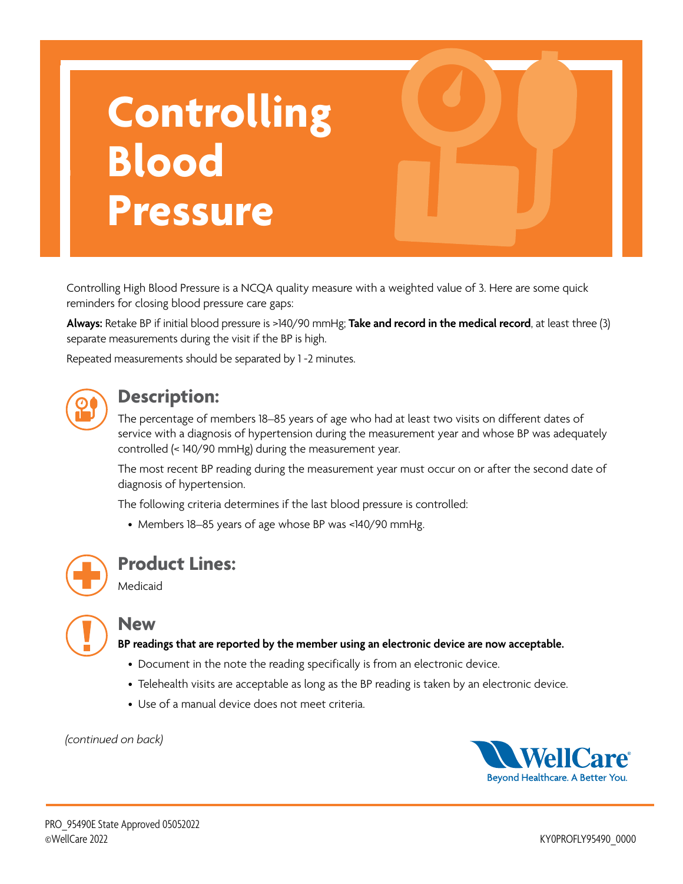# **Controlling Blood Pressure**

Controlling High Blood Pressure is a NCQA quality measure with a weighted value of 3. Here are some quick reminders for closing blood pressure care gaps:

**Always:** Retake BP if initial blood pressure is >140/90 mmHg; **Take and record in the medical record**, at least three (3) separate measurements during the visit if the BP is high.

Repeated measurements should be separated by 1 -2 minutes.



### **Description:**

The percentage of members 18–85 years of age who had at least two visits on different dates of service with a diagnosis of hypertension during the measurement year and whose BP was adequately controlled (< 140/90 mmHg) during the measurement year.

The most recent BP reading during the measurement year must occur on or after the second date of diagnosis of hypertension.

The following criteria determines if the last blood pressure is controlled:

• Members 18–85 years of age whose BP was <140/90 mmHg.



#### **Product Lines:**

Medicaid

#### **New**

**BP readings that are reported by the member using an electronic device are now acceptable.** 

- Document in the note the reading specifically is from an electronic device.
- Telehealth visits are acceptable as long as the BP reading is taken by an electronic device.
- Use of a manual device does not meet criteria.

#### *(continued on back)*